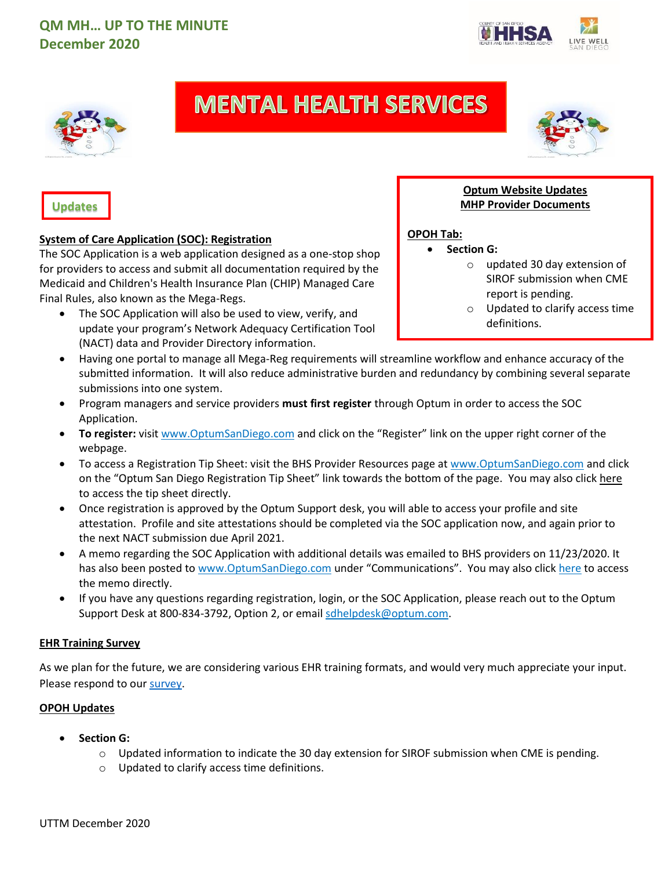



# **MENTAL HEALTH SERVICES**



### **Updates**

### **System of Care Application (SOC): Registration**

The SOC Application is a web application designed as a one-stop shop for providers to access and submit all documentation required by the Medicaid and Children's Health Insurance Plan (CHIP) Managed Care Final Rules, also known as the Mega-Regs.

The SOC Application will also be used to view, verify, and update your program's Network Adequacy Certification Tool (NACT) data and Provider Directory information.

### **Optum Website Updates MHP Provider Documents**

### **OPOH Tab:**

- **Section G:**
	- o updated 30 day extension of SIROF submission when CME report is pending.
	- o Updated to clarify access time definitions.
- Having one portal to manage all Mega-Reg requirements will streamline workflow and enhance accuracy of the submitted information. It will also reduce administrative burden and redundancy by combining several separate submissions into one system.
- Program managers and service providers **must first register** through Optum in order to access the SOC Application.
- **To register:** visit [www.OptumSanDiego.com](http://www.optumsandiego.com/) and click on the "Register" link on the upper right corner of the webpage.
- To access a Registration Tip Sheet: visit the BHS Provider Resources page a[t www.OptumSanDiego.com](http://www.optumsandiego.com/) and click on the "Optum San Diego Registration Tip Sheet" link towards the bottom of the page. You may also clic[k here](https://www.optumsandiego.com/content/dam/san-diego/pdf/optumsandiegregistrationtipsheet.pdf) to access the tip sheet directly.
- Once registration is approved by the Optum Support desk, you will able to access your profile and site attestation. Profile and site attestations should be completed via the SOC application now, and again prior to the next NACT submission due April 2021.
- A memo regarding the SOC Application with additional details was emailed to BHS providers on 11/23/2020. It has also been posted t[o www.OptumSanDiego.com](http://www.optumsandiego.com/) under "Communications". You may also click [here](https://www.optumsandiego.com/content/dam/san-diego/documents/organizationalproviders/communications/2020-11-23-BHS%20Contractor%20Memo-System%20of%20Care%20Application.pdf) to access the memo directly.
- If you have any questions regarding registration, login, or the SOC Application, please reach out to the Optum Support Desk at 800-834-3792, Option 2, or emai[l sdhelpdesk@optum.com.](mailto:sdhelpdesk@optum.com)

### **EHR Training Survey**

As we plan for the future, we are considering various EHR training formats, and would very much appreciate your input. Please respond to our [survey.](https://www.surveymonkey.com/r/SW_CCBHVirtualTraining.)

### **OPOH Updates**

- **Section G:**
	- $\circ$  Updated information to indicate the 30 day extension for SIROF submission when CME is pending.
	- o Updated to clarify access time definitions.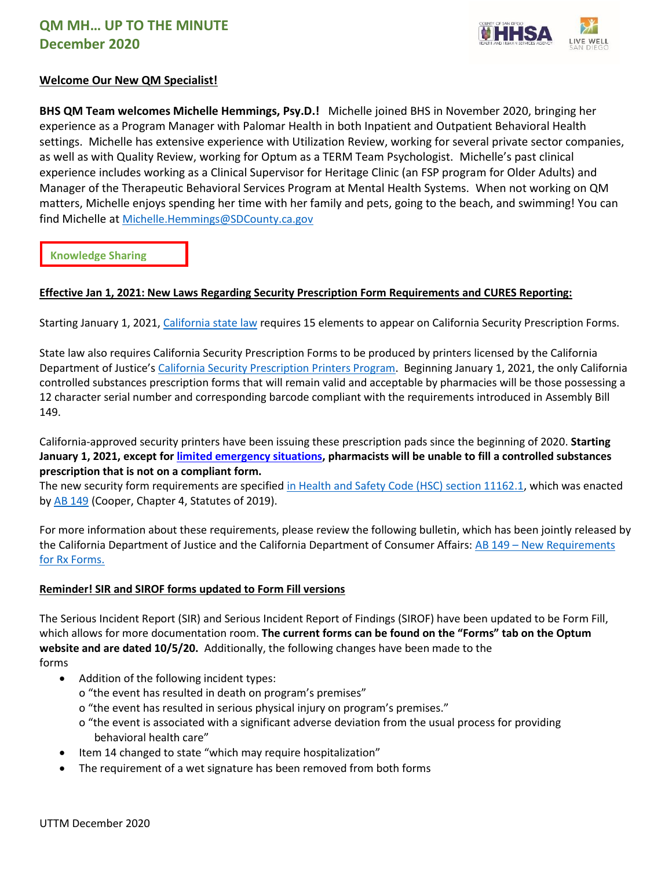

### **Welcome Our New QM Specialist!**

**BHS QM Team welcomes Michelle Hemmings, Psy.D.!** Michelle joined BHS in November 2020, bringing her experience as a Program Manager with Palomar Health in both Inpatient and Outpatient Behavioral Health settings. Michelle has extensive experience with Utilization Review, working for several private sector companies, as well as with Quality Review, working for Optum as a TERM Team Psychologist. Michelle's past clinical experience includes working as a Clinical Supervisor for Heritage Clinic (an FSP program for Older Adults) and Manager of the Therapeutic Behavioral Services Program at Mental Health Systems. When not working on QM matters, Michelle enjoys spending her time with her family and pets, going to the beach, and swimming! You can find Michelle at [Michelle.Hemmings@SDCounty.ca.gov](mailto:Michelle.Hemmings@SDCounty.ca.gov)

**Knowledge Sharing**

### **Effective Jan 1, 2021: New Laws Regarding Security Prescription Form Requirements and CURES Reporting:**

Starting January 1, 2021[, California](https://leginfo.legislature.ca.gov/faces/codes_displaySection.xhtml?lawCode=HSC§ionNum=11162.1.) state law requires 15 elements to appear on California Security Prescription Forms.

State law also requires California Security Prescription Forms to be produced by printers licensed by the California Department of Justice's [California Security Prescription Printers Program.](https://oag.ca.gov/security-printers) Beginning January 1, 2021, the only California controlled substances prescription forms that will remain valid and acceptable by pharmacies will be those possessing a 12 character serial number and corresponding barcode compliant with the requirements introduced in Assembly Bill 149.

California-approved security printers have been issuing these prescription pads since the beginning of 2020. **Starting January 1, 2021, except for [limited emergency situations,](https://urldefense.proofpoint.com/v2/url?u=http-3A__leginfo.legislature.ca.gov_faces_codes-5FdisplaySection.xhtml-3FsectionNum-3D11167-26lawCode-3DHSC&d=DwMFAg&c=LHIwbLRMLqgNuqr1uGLfTA&r=m0XGsz-UuCFbCgGJgUgQjOKnqH8L41kR4fgpo3op15Q&m=5Wom31mgxq2u1xx3_fgfMW052qZ8ujfgII2onPBvRpo&s=E5mkX2_Ab-5ozeSPXfkKfUXfu-n-NU1IYYWC_LK4dyI&e=) pharmacists will be unable to fill a controlled substances prescription that is not on a compliant form.**

The new security form requirements are specified [in Health and Safety Code \(HSC\) section 11162.1,](https://leginfo.legislature.ca.gov/faces/codes_displaySection.xhtml?lawCode=HSC§ionNum=11162.1.) which was enacted by **AB 149** (Cooper, Chapter 4, Statutes of 2019).

For more information about these requirements, please review the following bulletin, which has been jointly released by the California Department of Justice and the California Department of Consumer Affairs: AB 149 – [New Requirements](https://oag.ca.gov/sites/all/files/agweb/pdfs/pdmp/ab149-joint-statement.pdf)  [for Rx Forms.](https://oag.ca.gov/sites/all/files/agweb/pdfs/pdmp/ab149-joint-statement.pdf)

### **Reminder! SIR and SIROF forms updated to Form Fill versions**

The Serious Incident Report (SIR) and Serious Incident Report of Findings (SIROF) have been updated to be Form Fill, which allows for more documentation room. **The current forms can be found on the "Forms" tab on the Optum website and are dated 10/5/20.** Additionally, the following changes have been made to the forms

- Addition of the following incident types:
	- o "the event has resulted in death on program's premises"
	- o "the event has resulted in serious physical injury on program's premises."
	- o "the event is associated with a significant adverse deviation from the usual process for providing behavioral health care"
- Item 14 changed to state "which may require hospitalization"
- The requirement of a wet signature has been removed from both forms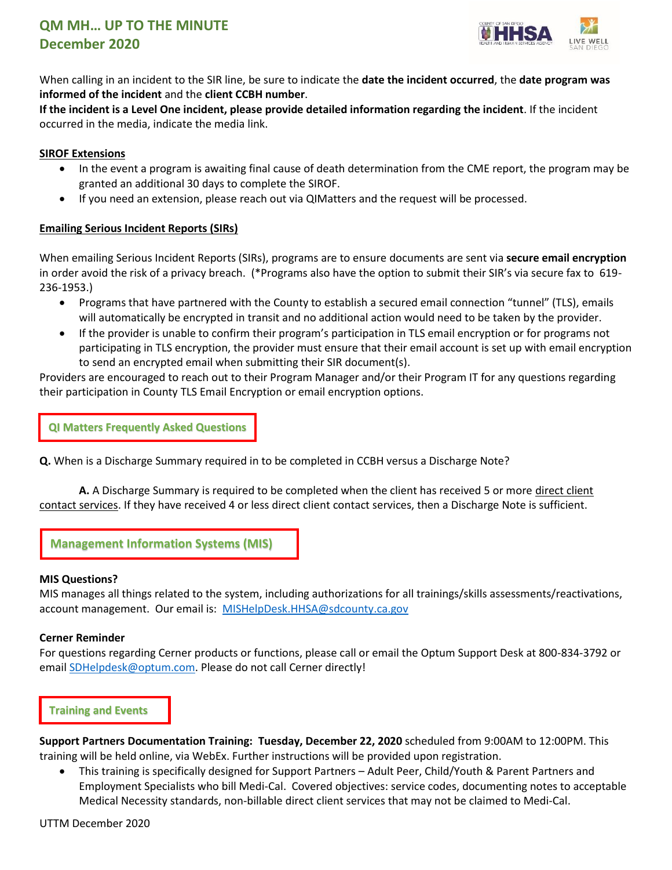

When calling in an incident to the SIR line, be sure to indicate the **date the incident occurred**, the **date program was informed of the incident** and the **client CCBH number**.

**If the incident is a Level One incident, please provide detailed information regarding the incident**. If the incident occurred in the media, indicate the media link.

### **SIROF Extensions**

- In the event a program is awaiting final cause of death determination from the CME report, the program may be granted an additional 30 days to complete the SIROF.
- If you need an extension, please reach out via QIMatters and the request will be processed.

### **Emailing Serious Incident Reports (SIRs)**

When emailing Serious Incident Reports (SIRs), programs are to ensure documents are sent via **secure email encryption** in order avoid the risk of a privacy breach. (\*Programs also have the option to submit their SIR's via secure fax to 619- 236-1953.)

- Programs that have partnered with the County to establish a secured email connection "tunnel" (TLS), emails will automatically be encrypted in transit and no additional action would need to be taken by the provider.
- If the provider is unable to confirm their program's participation in TLS email encryption or for programs not participating in TLS encryption, the provider must ensure that their email account is set up with email encryption to send an encrypted email when submitting their SIR document(s).

Providers are encouraged to reach out to their Program Manager and/or their Program IT for any questions regarding their participation in County TLS Email Encryption or email encryption options.

**QI Matters Frequently Asked Questions** 

**Q.** When is a Discharge Summary required in to be completed in CCBH versus a Discharge Note?

**A.** A Discharge Summary is required to be completed when the client has received 5 or more direct client contact services. If they have received 4 or less direct client contact services, then a Discharge Note is sufficient.

**Management Information Systems (MIS)**

### **MIS Questions?**

MIS manages all things related to the system, including authorizations for all trainings/skills assessments/reactivations, account management. Our email is: [MISHelpDesk.HHSA@sdcounty.ca.gov](mailto:MISHelpDesk.HHSA@sdcounty.ca.gov)

### **Cerner Reminder**

For questions regarding Cerner products or functions, please call or email the Optum Support Desk at 800-834-3792 or email **SDHelpdesk@optum.com.** Please do not call Cerner directly!

### **Training and Events**

**Support Partners Documentation Training: Tuesday, December 22, 2020** scheduled from 9:00AM to 12:00PM. This training will be held online, via WebEx. Further instructions will be provided upon registration.

• This training is specifically designed for Support Partners – Adult Peer, Child/Youth & Parent Partners and Employment Specialists who bill Medi-Cal. Covered objectives: service codes, documenting notes to acceptable Medical Necessity standards, non-billable direct client services that may not be claimed to Medi-Cal.

UTTM December 2020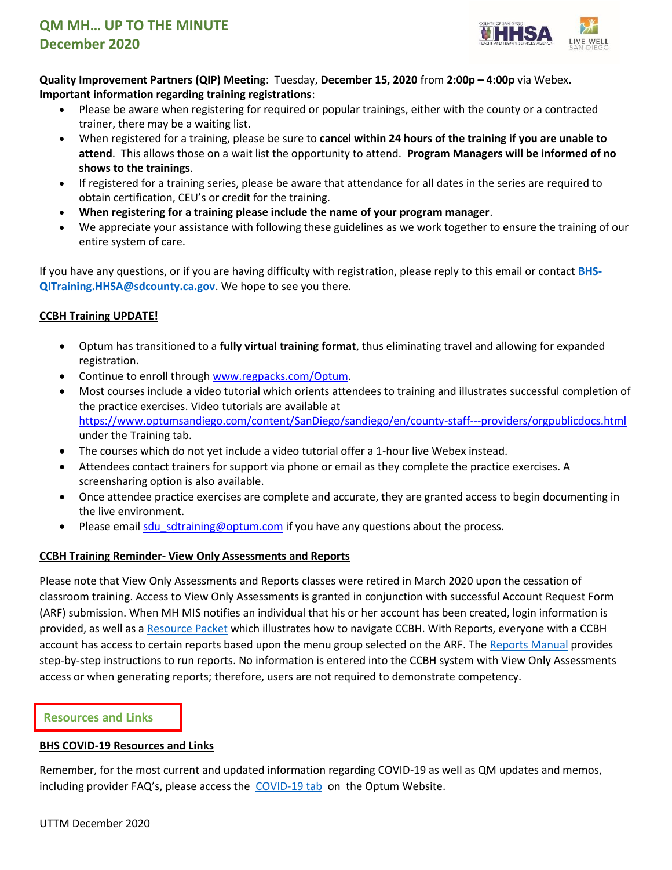

**Quality Improvement Partners (QIP) Meeting**: Tuesday, **December 15, 2020** from **2:00p – 4:00p** via Webex**. Important information regarding training registrations**:

- Please be aware when registering for required or popular trainings, either with the county or a contracted trainer, there may be a waiting list.
- When registered for a training, please be sure to **cancel within 24 hours of the training if you are unable to attend**. This allows those on a wait list the opportunity to attend. **Program Managers will be informed of no shows to the trainings**.
- If registered for a training series, please be aware that attendance for all dates in the series are required to obtain certification, CEU's or credit for the training.
- **When registering for a training please include the name of your program manager**.
- We appreciate your assistance with following these guidelines as we work together to ensure the training of our entire system of care.

If you have any questions, or if you are having difficulty with registration, please reply to this email or contact **[BHS-](mailto:BHS-QITraining.HHSA@sdcounty.ca.gov)[QITraining.HHSA@sdcounty.ca.gov](mailto:BHS-QITraining.HHSA@sdcounty.ca.gov)**. We hope to see you there.

### **CCBH Training UPDATE!**

- Optum has transitioned to a **fully virtual training format**, thus eliminating travel and allowing for expanded registration.
- Continue to enroll through [www.regpacks.com/Optum.](http://www.regpacks.com/Optum)
- Most courses include a video tutorial which orients attendees to training and illustrates successful completion of the practice exercises. Video tutorials are available at <https://www.optumsandiego.com/content/SanDiego/sandiego/en/county-staff---providers/orgpublicdocs.html> under the Training tab.
- The courses which do not yet include a video tutorial offer a 1-hour live Webex instead.
- Attendees contact trainers for support via phone or email as they complete the practice exercises. A screensharing option is also available.
- Once attendee practice exercises are complete and accurate, they are granted access to begin documenting in the live environment.
- Please email sdu sdtraining@optum.com if you have any questions about the process.

### **CCBH Training Reminder- View Only Assessments and Reports**

Please note that View Only Assessments and Reports classes were retired in March 2020 upon the cessation of classroom training. Access to View Only Assessments is granted in conjunction with successful Account Request Form (ARF) submission. When MH MIS notifies an individual that his or her account has been created, login information is provided, as well as a [Resource Packet](https://www.optumsandiego.com/content/dam/san-diego/documents/organizationalproviders/training/training_resources_packets/View_Only_Recource_Packet_03.2019.pdf) which illustrates how to navigate CCBH. With Reports, everyone with a CCBH account has access to certain reports based upon the menu group selected on the ARF. The [Reports Manual](https://www.optumsandiego.com/content/dam/san-diego/documents/organizationalproviders/training/training_resources_packets/Anasazi_Reports_Manual_2014_REVISED_9-22-14.pdf) provides step-by-step instructions to run reports. No information is entered into the CCBH system with View Only Assessments access or when generating reports; therefore, users are not required to demonstrate competency.

### **Resources and Links**

### **BHS COVID-19 Resources and Links**

Remember, for the most current and updated information regarding COVID-19 as well as QM updates and memos, including provider FAQ's, please access the [COVID-19 tab](https://www.optumsandiego.com/content/sandiego/en/county-staff---providers/orgpublicdocs.html) on the Optum Website.